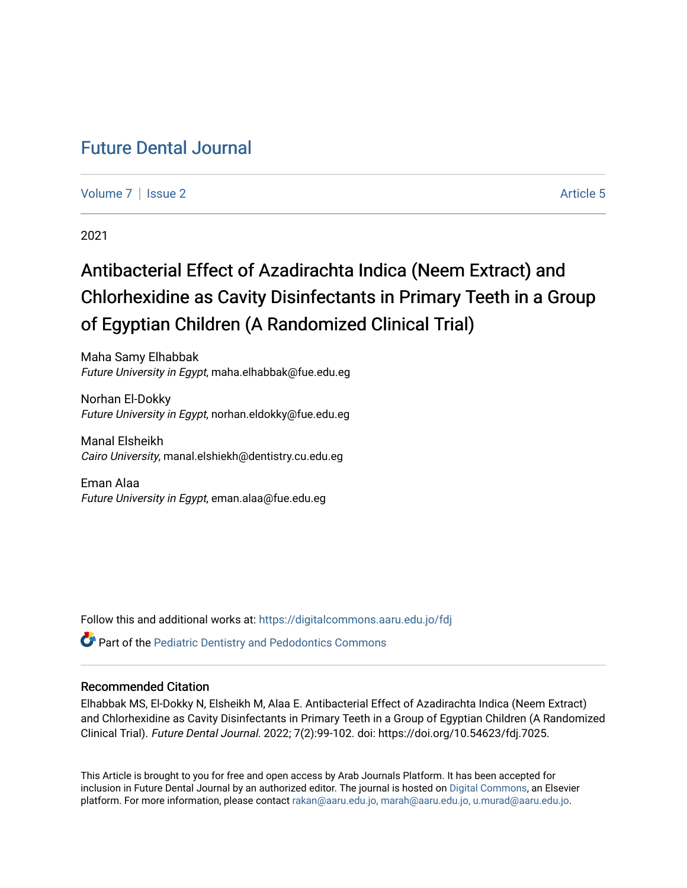## [Future Dental Journal](https://digitalcommons.aaru.edu.jo/fdj)

[Volume 7](https://digitalcommons.aaru.edu.jo/fdj/vol7) | [Issue 2](https://digitalcommons.aaru.edu.jo/fdj/vol7/iss2) Article 5

2021

# Antibacterial Effect of Azadirachta Indica (Neem Extract) and Chlorhexidine as Cavity Disinfectants in Primary Teeth in a Group of Egyptian Children (A Randomized Clinical Trial)

Maha Samy Elhabbak Future University in Egypt, maha.elhabbak@fue.edu.eg

Norhan El-Dokky Future University in Egypt, norhan.eldokky@fue.edu.eg

Manal Elsheikh Cairo University, manal.elshiekh@dentistry.cu.edu.eg

Eman Alaa Future University in Egypt, eman.alaa@fue.edu.eg

Follow this and additional works at: [https://digitalcommons.aaru.edu.jo/fdj](https://digitalcommons.aaru.edu.jo/fdj?utm_source=digitalcommons.aaru.edu.jo%2Ffdj%2Fvol7%2Fiss2%2F5&utm_medium=PDF&utm_campaign=PDFCoverPages)

**P** Part of the Pediatric Dentistry and Pedodontics Commons

### Recommended Citation

Elhabbak MS, El-Dokky N, Elsheikh M, Alaa E. Antibacterial Effect of Azadirachta Indica (Neem Extract) and Chlorhexidine as Cavity Disinfectants in Primary Teeth in a Group of Egyptian Children (A Randomized Clinical Trial). Future Dental Journal. 2022; 7(2):99-102. doi: https://doi.org/10.54623/fdj.7025.

This Article is brought to you for free and open access by Arab Journals Platform. It has been accepted for inclusion in Future Dental Journal by an authorized editor. The journal is hosted on [Digital Commons,](https://www.elsevier.com/solutions/digital-commons) an Elsevier platform. For more information, please contact [rakan@aaru.edu.jo, marah@aaru.edu.jo, u.murad@aaru.edu.jo](mailto:rakan@aaru.edu.jo,%20marah@aaru.edu.jo,%20u.murad@aaru.edu.jo).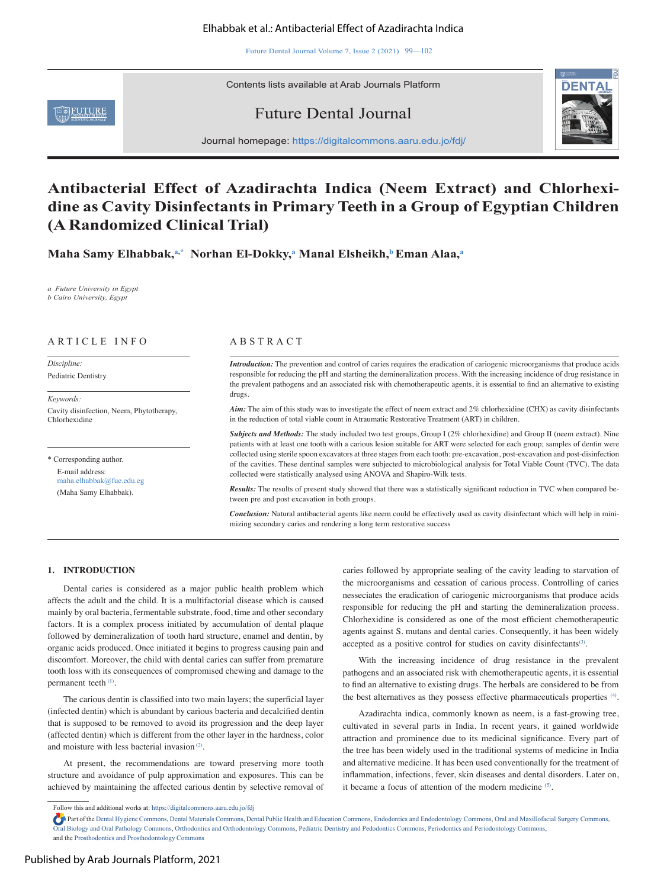#### Elhabbak et al.: Antibacterial Effect of Azadirachta Indica

Future Dental Journal Volume 7, Issue 2 (2021) 99—102

Contents lists available at Arab Journals Platform







Journal homepage: https://digitalcommons.aaru.edu.jo/fdj/

### **Antibacterial Effect of Azadirachta Indica (Neem Extract) and Chlorhexidine as Cavity Disinfectants in Primary Teeth in a Group of Egyptian Children (A Randomized Clinical Trial)**

**Maha Samy Elhabbak,a,\* Norhan El-Dokky,<sup>a</sup> Manal Elsheikh,b Eman Alaa,<sup>a</sup>**

*a Future University in Egypt b Cairo University, Egypt*

#### ARTICLE INFO A B S T R A C T

*Discipline:*  Pediatric Dentistry

*Keywords:*  Cavity disinfection, Neem, Phytotherapy, Chlorhexidine

\* Corresponding author. E-mail address: maha.elhabbak@fue.edu.eg (Maha Samy Elhabbak).

*Introduction:* The prevention and control of caries requires the eradication of cariogenic microorganisms that produce acids responsible for reducing the pH and starting the demineralization process. With the increasing incidence of drug resistance in the prevalent pathogens and an associated risk with chemotherapeutic agents, it is essential to find an alternative to existing drugs.

*Aim:* The aim of this study was to investigate the effect of neem extract and 2% chlorhexidine (CHX) as cavity disinfectants in the reduction of total viable count in Atraumatic Restorative Treatment (ART) in children.

*Subjects and Methods:* The study included two test groups, Group I (2% chlorhexidine) and Group II (neem extract). Nine patients with at least one tooth with a carious lesion suitable for ART were selected for each group; samples of dentin were collected using sterile spoon excavators at three stages from each tooth: pre-excavation, post-excavation and post-disinfection of the cavities. These dentinal samples were subjected to microbiological analysis for Total Viable Count (TVC). The data collected were statistically analysed using ANOVA and Shapiro-Wilk tests.

*Results:* The results of present study showed that there was a statistically significant reduction in TVC when compared between pre and post excavation in both groups.

*Conclusion:* Natural antibacterial agents like neem could be effectively used as cavity disinfectant which will help in minimizing secondary caries and rendering a long term restorative success

#### **1. INTRODUCTION**

Dental caries is considered as a major public health problem which affects the adult and the child. It is a multifactorial disease which is caused mainly by oral bacteria, fermentable substrate, food, time and other secondary factors. It is a complex process initiated by accumulation of dental plaque followed by demineralization of tooth hard structure, enamel and dentin, by organic acids produced. Once initiated it begins to progress causing pain and discomfort. Moreover, the child with dental caries can suffer from premature tooth loss with its consequences of compromised chewing and damage to the permanent teeth (1).

The carious dentin is classified into two main layers; the superficial layer (infected dentin) which is abundant by carious bacteria and decalcified dentin that is supposed to be removed to avoid its progression and the deep layer (affected dentin) which is different from the other layer in the hardness, color and moisture with less bacterial invasion (2).

At present, the recommendations are toward preserving more tooth structure and avoidance of pulp approximation and exposures. This can be achieved by maintaining the affected carious dentin by selective removal of caries followed by appropriate sealing of the cavity leading to starvation of the microorganisms and cessation of carious process. Controlling of caries nesseciates the eradication of cariogenic microorganisms that produce acids responsible for reducing the pH and starting the demineralization process. Chlorhexidine is considered as one of the most efficient chemotherapeutic agents against S. mutans and dental caries. Consequently, it has been widely accepted as a positive control for studies on cavity disinfectants<sup>(3)</sup>.

With the increasing incidence of drug resistance in the prevalent pathogens and an associated risk with chemotherapeutic agents, it is essential to find an alternative to existing drugs. The herbals are considered to be from the best alternatives as they possess effective pharmaceuticals properties <sup>(4)</sup>.

Azadirachta indica, commonly known as neem, is a fast-growing tree, cultivated in several parts in India. In recent years, it gained worldwide attraction and prominence due to its medicinal significance. Every part of the tree has been widely used in the traditional systems of medicine in India and alternative medicine. It has been used conventionally for the treatment of inflammation, infections, fever, skin diseases and dental disorders. Later on, it became a focus of attention of the modern medicine (5).

Follow this and additional works at: https://digitalcommons.aaru.edu.jo/fdj

Part of the Dental Hygiene Commons, Dental Materials Commons, Dental Public Health and Education Commons, Endodontics and Endodontology Commons, Oral and Maxillofacial Surgery Commons, Oral Biology and Oral Pathology Commons, Orthodontics and Orthodontology Commons, Pediatric Dentistry and Pedodontics Commons, Periodontics and Periodontology Commons, and the Prosthodontics and Prosthodontology Commons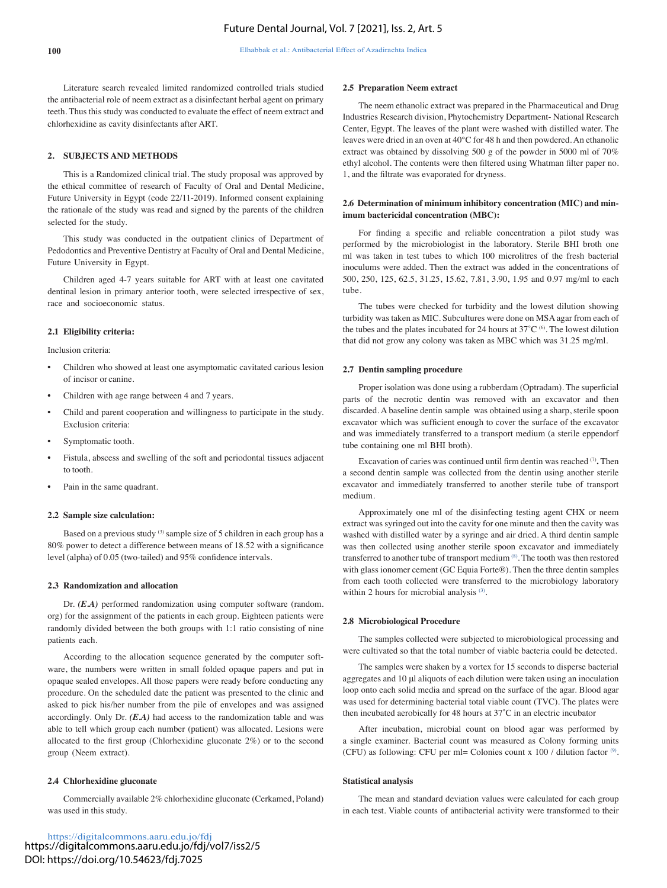Literature search revealed limited randomized controlled trials studied the antibacterial role of neem extract as a disinfectant herbal agent on primary teeth. Thus this study was conducted to evaluate the effect of neem extract and chlorhexidine as cavity disinfectants after ART.

#### **2. SUBJECTS AND METHODS**

This is a Randomized clinical trial. The study proposal was approved by the ethical committee of research of Faculty of Oral and Dental Medicine, Future University in Egypt (code 22/11-2019). Informed consent explaining the rationale of the study was read and signed by the parents of the children selected for the study.

This study was conducted in the outpatient clinics of Department of Pedodontics and Preventive Dentistry at Faculty of Oral and Dental Medicine, Future University in Egypt.

Children aged 4-7 years suitable for ART with at least one cavitated dentinal lesion in primary anterior tooth, were selected irrespective of sex, race and socioeconomic status.

#### **2.1 Eligibility criteria:**

Inclusion criteria:

- Children who showed at least one asymptomatic cavitated carious lesion of incisor or canine.
- Children with age range between 4 and 7 years.
- Child and parent cooperation and willingness to participate in the study. Exclusion criteria:
- Symptomatic tooth.
- Fistula, abscess and swelling of the soft and periodontal tissues adjacent to tooth.
- Pain in the same quadrant.

#### **2.2 Sample size calculation:**

Based on a previous study (3) sample size of 5 children in each group has a 80% power to detect a difference between means of 18.52 with a significance level (alpha) of 0.05 (two-tailed) and 95% confidence intervals.

#### **2.3 Randomization and allocation**

Dr. *(E.A)* performed randomization using computer software (random. org) for the assignment of the patients in each group. Eighteen patients were randomly divided between the both groups with 1:1 ratio consisting of nine patients each.

According to the allocation sequence generated by the computer software, the numbers were written in small folded opaque papers and put in opaque sealed envelopes. All those papers were ready before conducting any procedure. On the scheduled date the patient was presented to the clinic and asked to pick his/her number from the pile of envelopes and was assigned accordingly. Only Dr. *(E.A)* had access to the randomization table and was able to tell which group each number (patient) was allocated. Lesions were allocated to the first group (Chlorhexidine gluconate 2%) or to the second group (Neem extract).

#### **2.4 Chlorhexidine gluconate**

Commercially available 2% chlorhexidine gluconate (Cerkamed, Poland) was used in this study.

https://digitalcommons.aaru.edu.jo/fdj https://digitalcommons.aaru.edu.jo/fdj/vol7/iss2/5 DOI: https://doi.org/10.54623/fdj.7025

#### **2.5 Preparation Neem extract**

The neem ethanolic extract was prepared in the Pharmaceutical and Drug Industries Research division, Phytochemistry Department- National Research Center, Egypt. The leaves of the plant were washed with distilled water. The leaves were dried in an oven at 40°C for 48 h and then powdered. An ethanolic extract was obtained by dissolving 500 g of the powder in 5000 ml of 70% ethyl alcohol. The contents were then filtered using Whatman filter paper no. 1, and the filtrate was evaporated for dryness.

#### **2.6 Determination of minimum inhibitory concentration (MIC) and minimum bactericidal concentration (MBC):**

For finding a specific and reliable concentration a pilot study was performed by the microbiologist in the laboratory. Sterile BHI broth one ml was taken in test tubes to which 100 microlitres of the fresh bacterial inoculums were added. Then the extract was added in the concentrations of 500, 250, 125, 62.5, 31.25, 15.62, 7.81, 3.90, 1.95 and 0.97 mg/ml to each tube.

The tubes were checked for turbidity and the lowest dilution showing turbidity was taken as MIC. Subcultures were done on MSA agar from each of the tubes and the plates incubated for 24 hours at 37°C  $^{(6)}$ . The lowest dilution that did not grow any colony was taken as MBC which was 31.25 mg/ml.

#### **2.7 Dentin sampling procedure**

Proper isolation was done using a rubberdam (Optradam). The superficial parts of the necrotic dentin was removed with an excavator and then discarded. A baseline dentin sample was obtained using a sharp, sterile spoon excavator which was sufficient enough to cover the surface of the excavator and was immediately transferred to a transport medium (a sterile eppendorf tube containing one ml BHI broth).

Excavation of caries was continued until firm dentin was reached (7)**.** Then a second dentin sample was collected from the dentin using another sterile excavator and immediately transferred to another sterile tube of transport medium.

Approximately one ml of the disinfecting testing agent CHX or neem extract was syringed out into the cavity for one minute and then the cavity was washed with distilled water by a syringe and air dried. A third dentin sample was then collected using another sterile spoon excavator and immediately transferred to another tube of transport medium (8). The tooth was then restored with glass ionomer cement (GC Equia Forte®). Then the three dentin samples from each tooth collected were transferred to the microbiology laboratory within 2 hours for microbial analysis<sup>(3)</sup>.

#### **2.8 Microbiological Procedure**

The samples collected were subjected to microbiological processing and were cultivated so that the total number of viable bacteria could be detected.

The samples were shaken by a vortex for 15 seconds to disperse bacterial aggregates and 10 μl aliquots of each dilution were taken using an inoculation loop onto each solid media and spread on the surface of the agar. Blood agar was used for determining bacterial total viable count (TVC). The plates were then incubated aerobically for 48 hours at 37˚C in an electric incubator

After incubation, microbial count on blood agar was performed by a single examiner. Bacterial count was measured as Colony forming units (CFU) as following: CFU per ml= Colonies count x  $100 /$  dilution factor  $\circ$ .

#### **Statistical analysis**

The mean and standard deviation values were calculated for each group in each test. Viable counts of antibacterial activity were transformed to their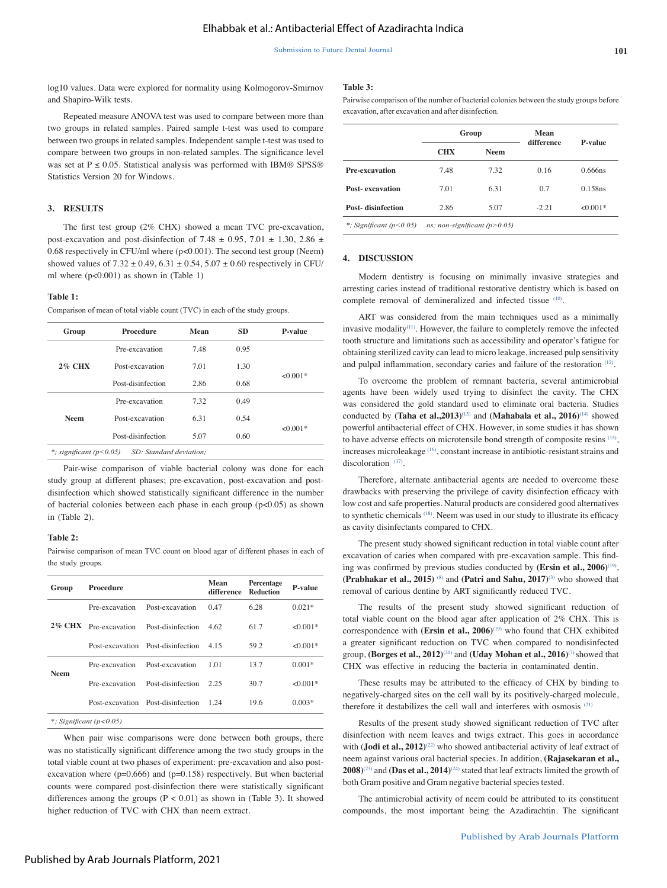log10 values. Data were explored for normality using Kolmogorov-Smirnov and Shapiro-Wilk tests.

 $R_{\text{reco}}$  test and measure  $\Lambda$   $NONA$  test was used to compare

#### **Table 3:**

Pairwise comparison of the number of bacterial colonies between the study groups before excavation, after excavation and after disinfection.

| Repeated ineasure AINO VA test was used to compare between more than         |  |
|------------------------------------------------------------------------------|--|
| two groups in related samples. Paired sample t-test was used to compare      |  |
| between two groups in related samples. Independent sample t-test was used to |  |
| compare between two groups in non-related samples. The significance level    |  |
| was set at $P \le 0.05$ . Statistical analysis was performed with IBM® SPSS® |  |
| Statistics Version 20 for Windows.                                           |  |
|                                                                              |  |

#### **3. RESULTS**

The first test group (2% CHX) showed a mean TVC pre-excavation, post-excavation and post-disinfection of 7.48  $\pm$  0.95, 7.01  $\pm$  1.30, 2.86  $\pm$ 0.68 respectively in CFU/ml where (p<0.001). The second test group (Neem) showed values of  $7.32 \pm 0.49$ ,  $6.31 \pm 0.54$ ,  $5.07 \pm 0.60$  respectively in CFU/ ml where (p<0.001) as shown in (Table 1)

#### **Table 1:**

Comparison of mean of total viable count (TVC) in each of the study groups.

| Group                                                | Procedure         | Mean | <b>SD</b> | P-value    |
|------------------------------------------------------|-------------------|------|-----------|------------|
| <b>2% CHX</b>                                        | Pre-excavation    | 7.48 | 0.95      |            |
|                                                      | Post-excavation   | 7.01 | 1.30      |            |
|                                                      | Post-disinfection | 2.86 | 0.68      | $<0.001*$  |
| <b>Neem</b>                                          | Pre-excavation    | 7.32 | 0.49      |            |
|                                                      | Post-excavation   | 6.31 | 0.54      |            |
|                                                      | Post-disinfection | 5.07 | 0.60      | $< 0.001*$ |
| SD: Standard deviation;<br>*; significant $(p<0.05)$ |                   |      |           |            |

Pair-wise comparison of viable bacterial colony was done for each study group at different phases; pre-excavation, post-excavation and postdisinfection which showed statistically significant difference in the number of bacterial colonies between each phase in each group (p<0.05) as shown in (Table 2).

#### **Table 2:**

Pairwise comparison of mean TVC count on blood agar of different phases in each of the study groups.

| Group       | Procedure             |                                   | Mean<br>difference | Percentage<br><b>Reduction</b> | <b>P-value</b> |
|-------------|-----------------------|-----------------------------------|--------------------|--------------------------------|----------------|
|             | Pre-excavation        | Post-excavation                   | 0.47               | 6.28                           | $0.021*$       |
|             | 2% CHX Pre-excavation | Post-disinfection                 |                    | 617                            | $< 0.001*$     |
|             |                       | Post-excavation Post-disinfection | 4 1 5              | 59.2                           | $< 0.001*$     |
| <b>Neem</b> | Pre-excavation        | Post-excavation                   | 101                | 13.7                           | $0.001*$       |
|             | Pre-excavation        | Post-disinfection                 | 2.25               | 30.7                           | $< 0.001*$     |
|             |                       | Post-excavation Post-disinfection | 1 24               | 19.6                           | $0.003*$       |
|             |                       |                                   |                    |                                |                |

*\*; Significant (p<0.05)*

When pair wise comparisons were done between both groups, there was no statistically significant difference among the two study groups in the total viable count at two phases of experiment: pre-excavation and also postexcavation where  $(p=0.666)$  and  $(p=0.158)$  respectively. But when bacterial counts were compared post-disinfection there were statistically significant differences among the groups  $(P < 0.01)$  as shown in (Table 3). It showed higher reduction of TVC with CHX than neem extract.

|                           | Group                          |             | <b>Mean</b> |                |  |  |
|---------------------------|--------------------------------|-------------|-------------|----------------|--|--|
|                           | <b>CHX</b>                     | <b>Neem</b> | difference  | <b>P-value</b> |  |  |
| <b>Pre-excavation</b>     | 7.48                           | 7.32        | 0.16        | $0.666$ ns     |  |  |
| <b>Post-</b> excavation   | 7.01                           | 6.31        | 0.7         | 0.158ns        |  |  |
| <b>Post-disinfection</b>  | 2.86                           | 5.07        | $-2.21$     | $< 0.001*$     |  |  |
| *: Significant $(p<0.05)$ | ns; non-significant $(p>0.05)$ |             |             |                |  |  |

**4. DISCUSSION**

Modern dentistry is focusing on minimally invasive strategies and arresting caries instead of traditional restorative dentistry which is based on complete removal of demineralized and infected tissue (10).

ART was considered from the main techniques used as a minimally invasive modality $(11)$ . However, the failure to completely remove the infected tooth structure and limitations such as accessibility and operator's fatigue for obtaining sterilized cavity can lead to micro leakage, increased pulp sensitivity and pulpal inflammation, secondary caries and failure of the restoration (12).

To overcome the problem of remnant bacteria, several antimicrobial agents have been widely used trying to disinfect the cavity. The CHX was considered the gold standard used to eliminate oral bacteria. Studies conducted by **(Taha et al.,2013)**(13) and **(Mahabala et al., 2016)**(14) showed powerful antibacterial effect of CHX. However, in some studies it has shown to have adverse effects on microtensile bond strength of composite resins (15), increases microleakage (16), constant increase in antibiotic-resistant strains and discoloration<sup>(17)</sup>.

Therefore, alternate antibacterial agents are needed to overcome these drawbacks with preserving the privilege of cavity disinfection efficacy with low cost and safe properties. Natural products are considered good alternatives to synthetic chemicals (18). Neem was used in our study to illustrate its efficacy as cavity disinfectants compared to CHX.

The present study showed significant reduction in total viable count after excavation of caries when compared with pre-excavation sample. This finding was confirmed by previous studies conducted by **(Ersin et al., 2006)**(19), **(Prabhakar et al., 2015)** (8) and **(Patri and Sahu, 2017)**(3) who showed that removal of carious dentine by ART significantly reduced TVC.

The results of the present study showed significant reduction of total viable count on the blood agar after application of 2% CHX. This is correspondence with **(Ersin et al., 2006)**<sup>(19)</sup> who found that CHX exhibited a greater significant reduction on TVC when compared to nondisinfected group, **(Borges et al., 2012)**(20) and **(Uday Mohan et al., 2016)**(7) showed that CHX was effective in reducing the bacteria in contaminated dentin.

These results may be attributed to the efficacy of CHX by binding to negatively-charged sites on the cell wall by its positively-charged molecule, therefore it destabilizes the cell wall and interferes with osmosis (21)

Results of the present study showed significant reduction of TVC after disinfection with neem leaves and twigs extract. This goes in accordance with (**Jodi et al., 2012**)<sup>(22)</sup> who showed antibacterial activity of leaf extract of neem against various oral bacterial species. In addition, **(Rajasekaran et al.,**   $2008$ <sup>(23)</sup> and **(Das et al., 2014**)<sup>(24)</sup> stated that leaf extracts limited the growth of both Gram positive and Gram negative bacterial species tested.

The antimicrobial activity of neem could be attributed to its constituent compounds, the most important being the Azadirachtin. The significant